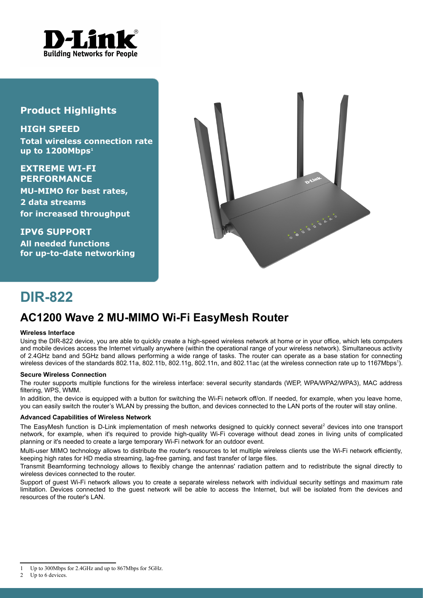

### **Product Highlights**

**HIGH SPEED Total wireless connection rate up to 1200Mbps[1](#page-0-0)**

**EXTREME WI-FI PERFORMANCE MU-MIMO for best rates, 2 data streams for increased throughput**

**IPV6 SUPPORT All needed functions for up-to-date networking**



# **DIR-822**

## **AC1200 Wave 2 MU-MIMO Wi-Fi EasyMesh Router**

#### **Wireless Interface**

Using the DIR-822 device, you are able to quickly create a high-speed wireless network at home or in your office, which lets computers and mobile devices access the Internet virtually anywhere (within the operational range of your wireless network). Simultaneous activity of 2.4GHz band and 5GHz band allows performing a wide range of tasks. The router can operate as a base station for connecting wireless devices of the standards 802.[1](#page-0-0)1a, 802.11b, 802.11g, 802.11n, and 802.11ac (at the wireless connection rate up to 1167Mbps<sup>1</sup>).

#### **Secure Wireless Connection**

The router supports multiple functions for the wireless interface: several security standards (WEP, WPA/WPA2/WPA3), MAC address filtering, WPS, WMM.

In addition, the device is equipped with a button for switching the Wi-Fi network off/on. If needed, for example, when you leave home, you can easily switch the router's WLAN by pressing the button, and devices connected to the LAN ports of the router will stay online.

#### **Advanced Capabilities of Wireless Network**

The EasyMesh function is D-Link implementation of mesh networks designed to quickly connect several<sup>[2](#page-0-1)</sup> devices into one transport network, for example, when it's required to provide high-quality Wi-Fi coverage without dead zones in living units of complicated planning or it's needed to create a large temporary Wi-Fi network for an outdoor event.

Multi-user MIMO technology allows to distribute the router's resources to let multiple wireless clients use the Wi-Fi network efficiently, keeping high rates for HD media streaming, lag-free gaming, and fast transfer of large files.

Transmit Beamforming technology allows to flexibly change the antennas' radiation pattern and to redistribute the signal directly to wireless devices connected to the router.

Support of guest Wi-Fi network allows you to create a separate wireless network with individual security settings and maximum rate limitation. Devices connected to the guest network will be able to access the Internet, but will be isolated from the devices and resources of the router's LAN.

<span id="page-0-1"></span>2 Up to 6 devices.

<span id="page-0-0"></span><sup>1</sup> Up to 300Mbps for 2.4GHz and up to 867Mbps for 5GHz.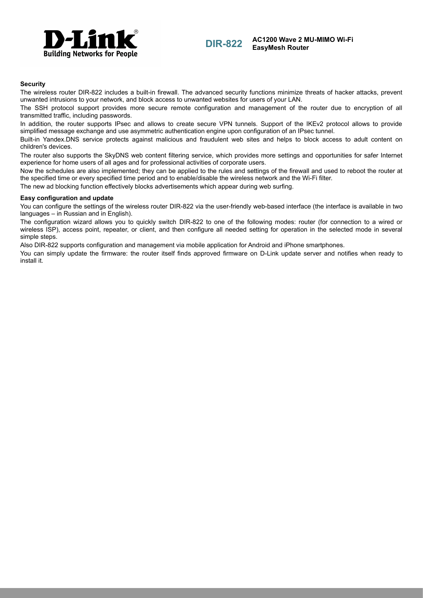

**DIR-822 AC1200 Wave 2 MU-MIMO Wi-Fi EasyMesh Router**

#### **Security**

The wireless router DIR-822 includes a built-in firewall. The advanced security functions minimize threats of hacker attacks, prevent unwanted intrusions to your network, and block access to unwanted websites for users of your LAN.

The SSH protocol support provides more secure remote configuration and management of the router due to encryption of all transmitted traffic, including passwords.

In addition, the router supports IPsec and allows to create secure VPN tunnels. Support of the IKEv2 protocol allows to provide simplified message exchange and use asymmetric authentication engine upon configuration of an IPsec tunnel.

Built-in Yandex.DNS service protects against malicious and fraudulent web sites and helps to block access to adult content on children's devices.

The router also supports the SkyDNS web content filtering service, which provides more settings and opportunities for safer Internet experience for home users of all ages and for professional activities of corporate users.

Now the schedules are also implemented; they can be applied to the rules and settings of the firewall and used to reboot the router at the specified time or every specified time period and to enable/disable the wireless network and the Wi-Fi filter.

The new ad blocking function effectively blocks advertisements which appear during web surfing.

#### **Easy configuration and update**

You can configure the settings of the wireless router DIR-822 via the user-friendly web-based interface (the interface is available in two languages – in Russian and in English).

The configuration wizard allows you to quickly switch DIR-822 to one of the following modes: router (for connection to a wired or wireless ISP), access point, repeater, or client, and then configure all needed setting for operation in the selected mode in several simple steps.

Also DIR-822 supports configuration and management via mobile application for Android and iPhone smartphones.

You can simply update the firmware: the router itself finds approved firmware on D-Link update server and notifies when ready to install it.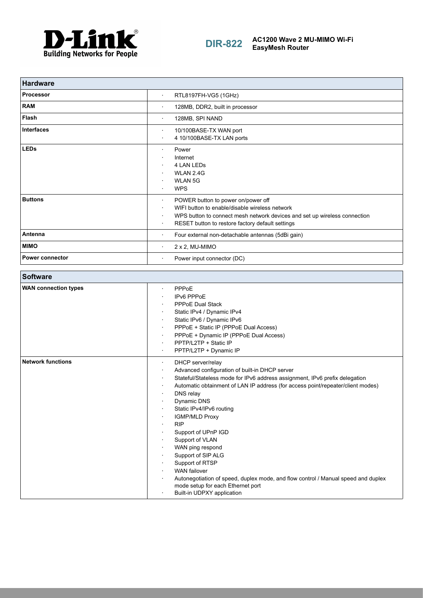

| <b>Hardware</b>        |                                                                                                                                                                                                                                                            |
|------------------------|------------------------------------------------------------------------------------------------------------------------------------------------------------------------------------------------------------------------------------------------------------|
| <b>Processor</b>       | RTL8197FH-VG5 (1GHz)<br>$\bullet$                                                                                                                                                                                                                          |
| <b>RAM</b>             | 128MB, DDR2, built in processor<br>٠                                                                                                                                                                                                                       |
| <b>Flash</b>           | 128MB, SPI NAND<br>$\bullet$                                                                                                                                                                                                                               |
| <b>Interfaces</b>      | 10/100BASE-TX WAN port<br>$\bullet$<br>4 10/100BASE-TX LAN ports<br>$\bullet$                                                                                                                                                                              |
| <b>LEDs</b>            | Power<br>$\bullet$<br>Internet<br>4 LAN LEDS<br>WLAN 2.4G<br><b>WLAN 5G</b><br><b>WPS</b>                                                                                                                                                                  |
| <b>Buttons</b>         | POWER button to power on/power off<br>$\bullet$<br>WIFI button to enable/disable wireless network<br>WPS button to connect mesh network devices and set up wireless connection<br>$\bullet$<br>RESET button to restore factory default settings<br>$\cdot$ |
| Antenna                | Four external non-detachable antennas (5dBi gain)<br>٠                                                                                                                                                                                                     |
| <b>MIMO</b>            | 2 x 2, MU-MIMO<br>$\bullet$                                                                                                                                                                                                                                |
| <b>Power connector</b> | Power input connector (DC)<br>$\bullet$                                                                                                                                                                                                                    |

| <b>Software</b>             |                                                                                                                                                                                                                                                                                                                                                                                                                                                                                                                                                                                                                                                                                                  |
|-----------------------------|--------------------------------------------------------------------------------------------------------------------------------------------------------------------------------------------------------------------------------------------------------------------------------------------------------------------------------------------------------------------------------------------------------------------------------------------------------------------------------------------------------------------------------------------------------------------------------------------------------------------------------------------------------------------------------------------------|
| <b>WAN connection types</b> | PPPoE<br>$\bullet$<br>IPv6 PPPoE<br><b>PPPoE Dual Stack</b><br>$\bullet$<br>Static IPv4 / Dynamic IPv4<br>Static IPv6 / Dynamic IPv6<br>PPPoE + Static IP (PPPoE Dual Access)<br>$\bullet$<br>PPPoE + Dynamic IP (PPPoE Dual Access)<br>٠<br>PPTP/L2TP + Static IP<br>$\bullet$<br>PPTP/L2TP + Dynamic IP                                                                                                                                                                                                                                                                                                                                                                                        |
| <b>Network functions</b>    | DHCP server/relay<br>$\bullet$<br>Advanced configuration of built-in DHCP server<br>$\bullet$<br>Stateful/Stateless mode for IPv6 address assignment, IPv6 prefix delegation<br>$\bullet$<br>Automatic obtainment of LAN IP address (for access point/repeater/client modes)<br>$\bullet$<br>DNS relay<br>٠<br>Dynamic DNS<br>Static IPv4/IPv6 routing<br><b>IGMP/MLD Proxy</b><br><b>RIP</b><br>$\bullet$<br>Support of UPnP IGD<br>Support of VLAN<br>WAN ping respond<br>Support of SIP ALG<br>Support of RTSP<br><b>WAN failover</b><br>Autonegotiation of speed, duplex mode, and flow control / Manual speed and duplex<br>mode setup for each Ethernet port<br>Built-in UDPXY application |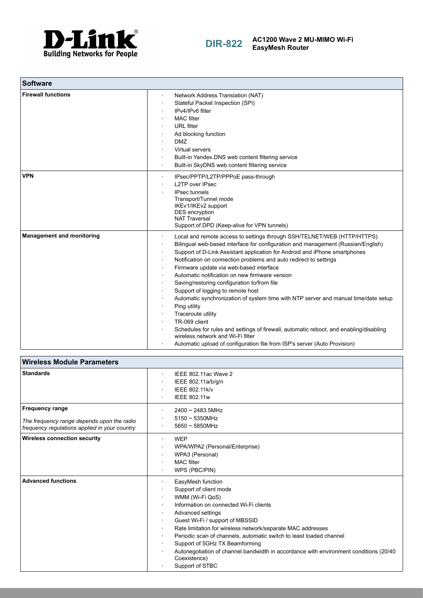

| <b>Software</b>                  |                                                                                                                                                                                                                                                                                                                                                                                                                                                                                                                                                                                                                                                                                                                                                                                                                                                           |
|----------------------------------|-----------------------------------------------------------------------------------------------------------------------------------------------------------------------------------------------------------------------------------------------------------------------------------------------------------------------------------------------------------------------------------------------------------------------------------------------------------------------------------------------------------------------------------------------------------------------------------------------------------------------------------------------------------------------------------------------------------------------------------------------------------------------------------------------------------------------------------------------------------|
| <b>Firewall functions</b>        | Network Address Translation (NAT)<br>$\bullet$<br>Stateful Packet Inspection (SPI)<br>IPv4/IPv6 filter<br><b>MAC</b> filter<br><b>URL</b> filter<br>Ad blocking function<br><b>DMZ</b><br>Virtual servers<br>Built-in Yandex.DNS web content filtering service<br>Built-in SkyDNS web content filtering service                                                                                                                                                                                                                                                                                                                                                                                                                                                                                                                                           |
| <b>VPN</b>                       | IPsec/PPTP/L2TP/PPPoE pass-through<br>٠<br><b>L2TP over IPsec</b><br><b>IPsec tunnels</b><br>Transport/Tunnel mode<br>IKEv1/IKEv2 support<br><b>DES</b> encryption<br><b>NAT Traversal</b><br>Support of DPD (Keep-alive for VPN tunnels)                                                                                                                                                                                                                                                                                                                                                                                                                                                                                                                                                                                                                 |
| <b>Management and monitoring</b> | Local and remote access to settings through SSH/TELNET/WEB (HTTP/HTTPS)<br>Bilingual web-based interface for configuration and management (Russian/English)<br>Support of D-Link Assistant application for Android and iPhone smartphones<br>Notification on connection problems and auto redirect to settings<br>Firmware update via web-based interface<br>Automatic notification on new firmware version<br>Saving/restoring configuration to/from file<br>Support of logging to remote host<br>Automatic synchronization of system time with NTP server and manual time/date setup<br>Ping utility<br>Traceroute utility<br>TR-069 client<br>Schedules for rules and settings of firewall, automatic reboot, and enabling/disabling<br>wireless network and Wi-Fi filter<br>Automatic upload of configuration file from ISP's server (Auto Provision) |

| <b>Wireless Module Parameters</b>                                                                                     |                                                                                                                                                                                                                                                                                                                                                                                                                                                                                    |
|-----------------------------------------------------------------------------------------------------------------------|------------------------------------------------------------------------------------------------------------------------------------------------------------------------------------------------------------------------------------------------------------------------------------------------------------------------------------------------------------------------------------------------------------------------------------------------------------------------------------|
| <b>Standards</b>                                                                                                      | IEEE 802.11ac Wave 2<br>$\bullet$<br>IEEE 802.11a/b/q/n<br>IEEE 802.11k/v<br><b>IEEE 802.11w</b>                                                                                                                                                                                                                                                                                                                                                                                   |
| <b>Frequency range</b><br>The frequency range depends upon the radio<br>frequency requiations applied in your country | $2400 \sim 2483.5$ MHz<br>$\bullet$<br>$5150 \sim 5350$ MHz<br>$5650 \sim 5850$ MHz                                                                                                                                                                                                                                                                                                                                                                                                |
| <b>Wireless connection security</b>                                                                                   | <b>WEP</b><br>WPA/WPA2 (Personal/Enterprise)<br>WPA3 (Personal)<br><b>MAC</b> filter<br>WPS (PBC/PIN)                                                                                                                                                                                                                                                                                                                                                                              |
| <b>Advanced functions</b>                                                                                             | EasyMesh function<br>Support of client mode<br>WMM (Wi-Fi QoS)<br>Information on connected Wi-Fi clients<br>Advanced settings<br>Guest Wi-Fi / support of MBSSID<br>Rate limitation for wireless network/separate MAC addresses<br>$\bullet$<br>Periodic scan of channels, automatic switch to least loaded channel<br>Support of 5GHz TX Beamforming<br>Autonegotiation of channel bandwidth in accordance with environment conditions (20/40)<br>Coexistence)<br>Support of STBC |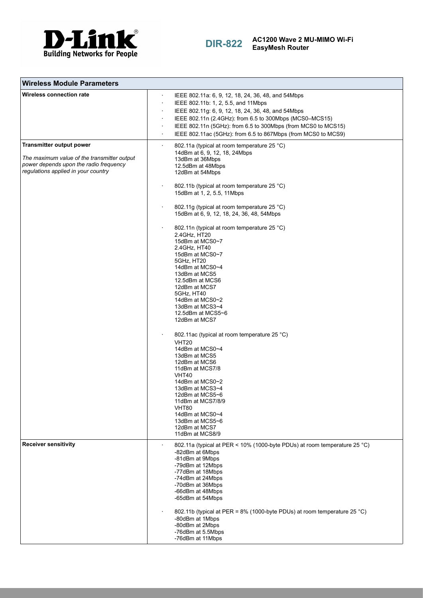

**DIR-822 AC1200 Wave 2 MU-MIMO Wi-Fi EasyMesh Router**

| <b>Wireless Module Parameters</b>                                                                                                                               |                                                                                                                                                                                                                                                                                                                                                                                                                                                                                                                                                                                                                                                                                                                                                                                                                                                                                                                                               |
|-----------------------------------------------------------------------------------------------------------------------------------------------------------------|-----------------------------------------------------------------------------------------------------------------------------------------------------------------------------------------------------------------------------------------------------------------------------------------------------------------------------------------------------------------------------------------------------------------------------------------------------------------------------------------------------------------------------------------------------------------------------------------------------------------------------------------------------------------------------------------------------------------------------------------------------------------------------------------------------------------------------------------------------------------------------------------------------------------------------------------------|
| <b>Wireless connection rate</b>                                                                                                                                 | IEEE 802.11a: 6, 9, 12, 18, 24, 36, 48, and 54Mbps<br>IEEE 802.11b: 1, 2, 5.5, and 11Mbps<br>$\bullet$<br>IEEE 802.11g: 6, 9, 12, 18, 24, 36, 48, and 54Mbps<br>IEEE 802.11n (2.4GHz): from 6.5 to 300Mbps (MCS0-MCS15)<br>IEEE 802.11n (5GHz): from 6.5 to 300Mbps (from MCS0 to MCS15)<br>IEEE 802.11ac (5GHz): from 6.5 to 867Mbps (from MCS0 to MCS9)<br>$\bullet$                                                                                                                                                                                                                                                                                                                                                                                                                                                                                                                                                                        |
| <b>Transmitter output power</b><br>The maximum value of the transmitter output<br>power depends upon the radio frequency<br>regulations applied in your country | 802.11a (typical at room temperature 25 °C)<br>$\bullet$<br>14dBm at 6, 9, 12, 18, 24Mbps<br>13dBm at 36Mbps<br>12.5dBm at 48Mbps<br>12dBm at 54Mbps<br>802.11b (typical at room temperature 25 °C)<br>15dBm at 1, 2, 5.5, 11Mbps<br>802.11g (typical at room temperature 25 °C)<br>15dBm at 6, 9, 12, 18, 24, 36, 48, 54Mbps<br>802.11n (typical at room temperature 25 °C)<br>2.4GHz, HT20<br>15dBm at MCS0~7<br>2.4GHz, HT40<br>15dBm at MCS0~7<br>5GHz, HT20<br>14dBm at MCS0~4<br>13dBm at MCS5<br>12.5dBm at MCS6<br>12dBm at MCS7<br>5GHz, HT40<br>14dBm at MCS0~2<br>13dBm at MCS3~4<br>12.5dBm at MCS5~6<br>12dBm at MCS7<br>802.11ac (typical at room temperature 25 °C)<br>VHT20<br>14dBm at MCS0~4<br>13dBm at MCS5<br>12dBm at MCS6<br>11dBm at MCS7/8<br>VHT40<br>14dBm at MCS0~2<br>13dBm at MCS3~4<br>12dBm at MCS5~6<br>11dBm at MCS7/8/9<br>VHT80<br>14dBm at MCS0~4<br>13dBm at MCS5~6<br>12dBm at MCS7<br>11dBm at MCS8/9 |
| <b>Receiver sensitivity</b>                                                                                                                                     | 802.11a (typical at PER < 10% (1000-byte PDUs) at room temperature 25 °C)<br>-82dBm at 6Mbps<br>-81dBm at 9Mbps<br>-79dBm at 12Mbps<br>-77dBm at 18Mbps<br>-74dBm at 24Mbps<br>-70dBm at 36Mbps<br>-66dBm at 48Mbps<br>-65dBm at 54Mbps<br>802.11b (typical at PER = 8% (1000-byte PDUs) at room temperature 25 °C)<br>-80dBm at 1Mbps<br>-80dBm at 2Mbps<br>-76dBm at 5.5Mbps<br>-76dBm at 11Mbps                                                                                                                                                                                                                                                                                                                                                                                                                                                                                                                                            |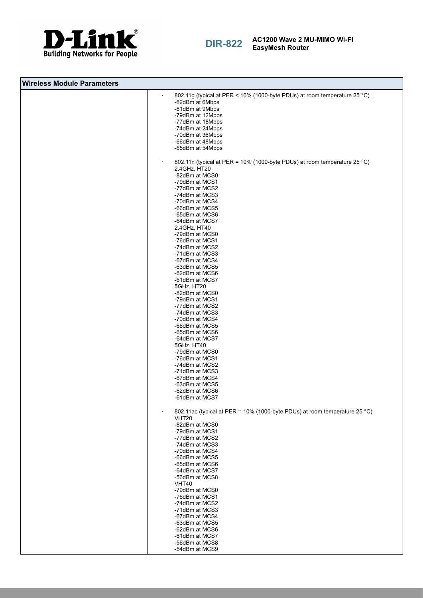



**DIR-822 AC1200 Wave 2 MU-MIMO Wi-Fi EasyMesh Router**

| <b>Wireless Module Parameters</b> |                                                                                                                                                                                                                                                                                                                                                                                                                                                                                                                                                                                                                                                               |
|-----------------------------------|---------------------------------------------------------------------------------------------------------------------------------------------------------------------------------------------------------------------------------------------------------------------------------------------------------------------------------------------------------------------------------------------------------------------------------------------------------------------------------------------------------------------------------------------------------------------------------------------------------------------------------------------------------------|
|                                   | 802.11g (typical at PER < 10% (1000-byte PDUs) at room temperature 25 °C)<br>$\cdot$<br>-82dBm at 6Mbps<br>-81dBm at 9Mbps<br>-79dBm at 12Mbps<br>-77dBm at 18Mbps<br>-74dBm at 24Mbps<br>-70dBm at 36Mbps<br>-66dBm at 48Mbps<br>-65dBm at 54Mbps                                                                                                                                                                                                                                                                                                                                                                                                            |
|                                   | 802.11n (typical at PER = 10% (1000-byte PDUs) at room temperature 25 °C)<br>2.4GHz, HT20<br>-82dBm at MCS0<br>-79dBm at MCS1<br>-77dBm at MCS2<br>-74dBm at MCS3<br>-70dBm at MCS4<br>-66dBm at MCS5<br>-65dBm at MCS6<br>-64dBm at MCS7<br>2.4GHz, HT40<br>-79dBm at MCS0<br>-76dBm at MCS1<br>-74dBm at MCS2<br>-71dBm at MCS3<br>-67dBm at MCS4<br>-63dBm at MCS5<br>-62dBm at MCS6<br>-61dBm at MCS7<br>5GHz, HT20<br>-82dBm at MCS0<br>-79dBm at MCS1<br>-77dBm at MCS2<br>-74dBm at MCS3<br>-70dBm at MCS4<br>-66dBm at MCS5<br>-65dBm at MCS6<br>-64dBm at MCS7<br>5GHz, HT40<br>-79dBm at MCS0<br>-76dBm at MCS1<br>-74dBm at MCS2<br>-71dBm at MCS3 |
|                                   | -67dBm at MCS4<br>-63dBm at MCS5<br>-62dBm at MCS6<br>-61dBm at MCS7<br>802.11ac (typical at PER = 10% (1000-byte PDUs) at room temperature 25 °C)<br>VHT <sub>20</sub><br>-82dBm at MCS0<br>-79dBm at MCS1<br>-77dBm at MCS2<br>-74dBm at MCS3                                                                                                                                                                                                                                                                                                                                                                                                               |
|                                   | -70dBm at MCS4<br>-66dBm at MCS5<br>-65dBm at MCS6<br>-64dBm at MCS7<br>-56dBm at MCS8<br>VHT40<br>-79dBm at MCS0<br>-76dBm at MCS1<br>-74dBm at MCS2<br>-71dBm at MCS3<br>-67dBm at MCS4<br>-63dBm at MCS5<br>-62dBm at MCS6<br>-61dBm at MCS7<br>-56dBm at MCS8<br>-54dBm at MCS9                                                                                                                                                                                                                                                                                                                                                                           |